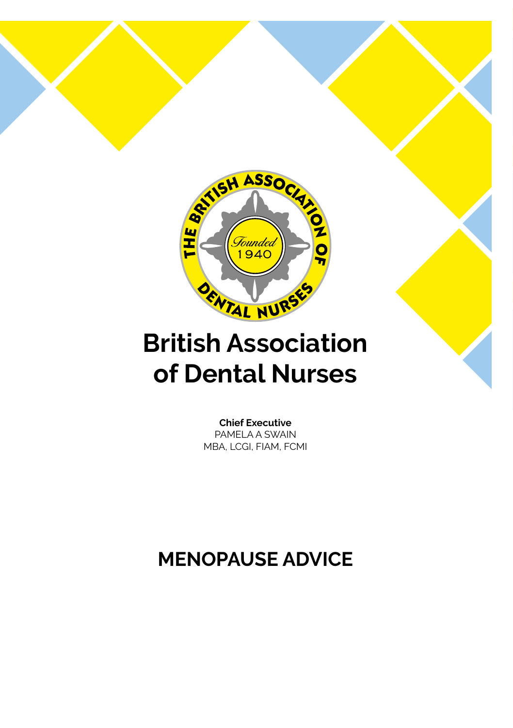

9 8 9 9

## **British Association of Dental Nurses**

**Chief Executive** PAMELA A SWAIN MBA, LCGI, FIAM, FCMI

### **MENOPAUSE ADVICE**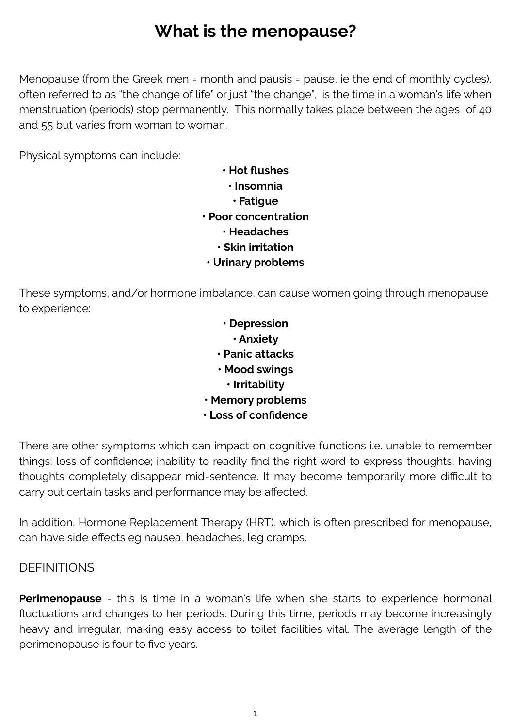### **What is the menopause?**

Menopause (from the Greek men = month and pausis = pause, ie the end of monthly cycles), often referred to as "the change of life" or just "the change", is the time in a woman's life when menstruation (periods) stop permanently. This normally takes place between the ages of 40 and 55 but varies from woman to woman.

Physical symptoms can include:

- **•⦁ Hot flushes •⦁ Insomnia •⦁ Fatigue •⦁ Poor concentration •⦁ Headaches**
	- **•⦁ Skin irritation**
- **•⦁ Urinary problems**

These symptoms, and/or hormone imbalance, can cause women going through menopause to experience:

> **• Depression • Anxiety • Panic attacks • Mood swings • Irritability • Memory problems • Loss of confidence**

There are other symptoms which can impact on cognitive functions i.e. unable to remember things; loss of confidence; inability to readily find the right word to express thoughts; having thoughts completely disappear mid-sentence. It may become temporarily more difficult to carry out certain tasks and performance may be affected.

In addition, Hormone Replacement Therapy (HRT), which is often prescribed for menopause, can have side effects eg nausea, headaches, leg cramps.

#### **DEFINITIONS**

**Perimenopause** - this is time in a woman's life when she starts to experience hormonal fluctuations and changes to her periods. During this time, periods may become increasingly heavy and irregular, making easy access to toilet facilities vital. The average length of the perimenopause is four to five years.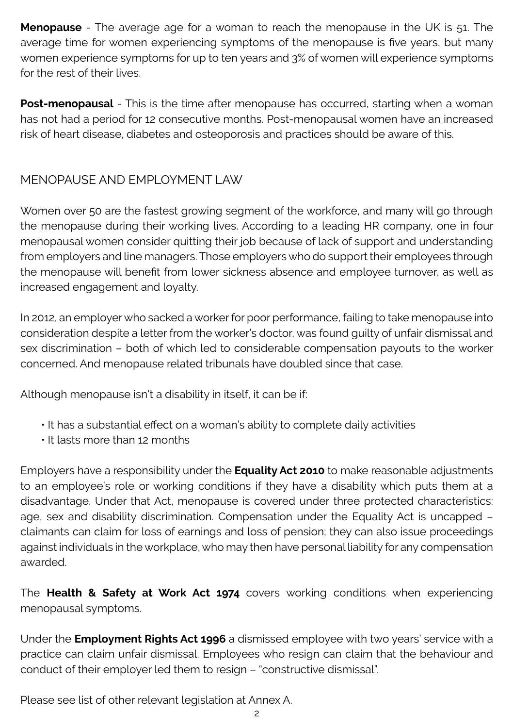**Menopause** - The average age for a woman to reach the menopause in the UK is 51. The average time for women experiencing symptoms of the menopause is five years, but many women experience symptoms for up to ten years and 3% of women will experience symptoms for the rest of their lives.

**Post-menopausal** - This is the time after menopause has occurred, starting when a woman has not had a period for 12 consecutive months. Post-menopausal women have an increased risk of heart disease, diabetes and osteoporosis and practices should be aware of this.

#### MENOPAUSE AND EMPLOYMENT LAW

Women over 50 are the fastest growing segment of the workforce, and many will go through the menopause during their working lives. According to a leading HR company, one in four menopausal women consider quitting their job because of lack of support and understanding from employers and line managers. Those employers who do support their employees through the menopause will benefit from lower sickness absence and employee turnover, as well as increased engagement and loyalty.

In 2012, an employer who sacked a worker for poor performance, failing to take menopause into consideration despite a letter from the worker's doctor, was found guilty of unfair dismissal and sex discrimination – both of which led to considerable compensation payouts to the worker concerned. And menopause related tribunals have doubled since that case.

Although menopause isn't a disability in itself, it can be if:

- It has a substantial effect on a woman's ability to complete daily activities
- It lasts more than 12 months

Employers have a responsibility under the **Equality Act 2010** to make reasonable adjustments to an employee's role or working conditions if they have a disability which puts them at a disadvantage. Under that Act, menopause is covered under three protected characteristics: age, sex and disability discrimination. Compensation under the Equality Act is uncapped – claimants can claim for loss of earnings and loss of pension; they can also issue proceedings against individuals in the workplace, who may then have personal liability for any compensation awarded.

The **Health & Safety at Work Act 1974** covers working conditions when experiencing menopausal symptoms.

Under the **Employment Rights Act 1996** a dismissed employee with two years' service with a practice can claim unfair dismissal. Employees who resign can claim that the behaviour and conduct of their employer led them to resign – "constructive dismissal".

Please see list of other relevant legislation at Annex A.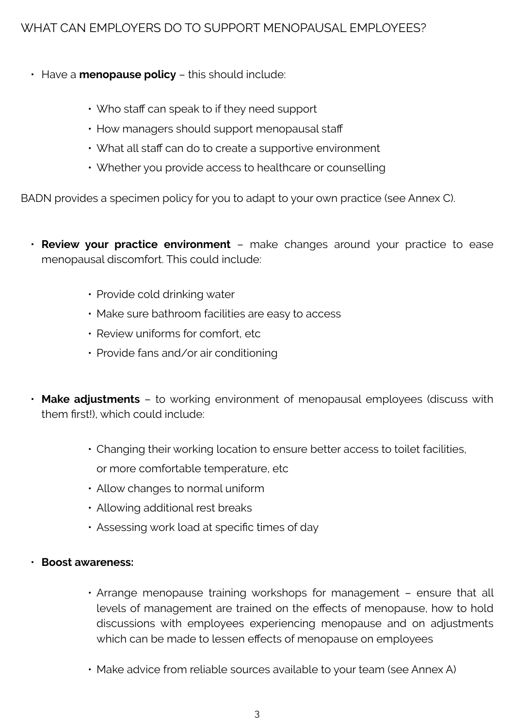#### WHAT CAN EMPLOYERS DO TO SUPPORT MENOPAUSAL EMPLOYEES?

- Have a **menopause policy** this should include:
	- Who staff can speak to if they need support
	- $\cdot$  How managers should support menopausal staff
	- What all staff can do to create a supportive environment
	- Whether you provide access to healthcare or counselling

BADN provides a specimen policy for you to adapt to your own practice (see Annex C).

- **Review your practice environment** make changes around your practice to ease menopausal discomfort. This could include:
	- Provide cold drinking water
	- Make sure bathroom facilities are easy to access
	- $\cdot$  Review uniforms for comfort, etc.
	- Provide fans and/or air conditioning
- **Make adjustments** to working environment of menopausal employees (discuss with them first!), which could include:
	- Changing their working location to ensure better access to toilet facilities, or more comfortable temperature, etc
	- Allow changes to normal uniform
	- Allowing additional rest breaks
	- Assessing work load at specific times of day

#### • **Boost awareness:**

- Arrange menopause training workshops for management ensure that all levels of management are trained on the effects of menopause, how to hold discussions with employees experiencing menopause and on adjustments which can be made to lessen effects of menopause on employees
- Make advice from reliable sources available to your team (see Annex A)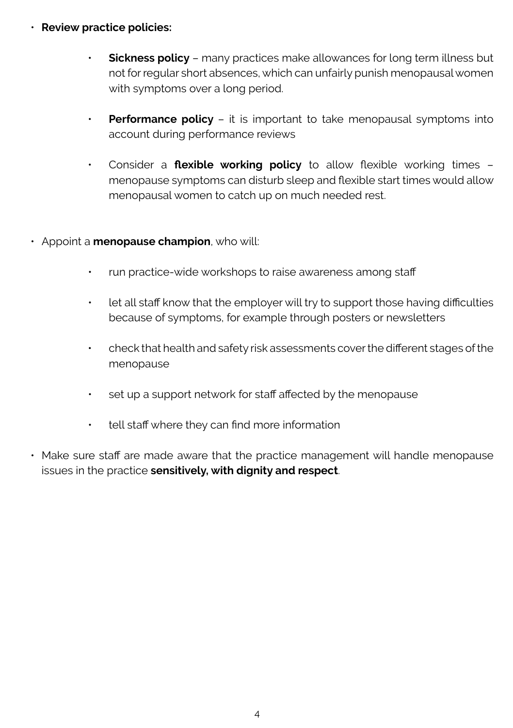- **Review practice policies:**
	- **Sickness policy** many practices make allowances for long term illness but not for regular short absences, which can unfairly punish menopausal women with symptoms over a long period.
	- **Performance policy** it is important to take menopausal symptoms into account during performance reviews
	- Consider a **flexible working policy** to allow flexible working times menopause symptoms can disturb sleep and flexible start times would allow menopausal women to catch up on much needed rest.
- Appoint a **menopause champion**, who will:
	- run practice-wide workshops to raise awareness among staff
	- let all staff know that the employer will try to support those having difficulties because of symptoms, for example through posters or newsletters
	- check that health and safety risk assessments cover the different stages of the menopause
	- set up a support network for staff affected by the menopause
	- tell staff where they can find more information
- Make sure staff are made aware that the practice management will handle menopause issues in the practice **sensitively, with dignity and respect**.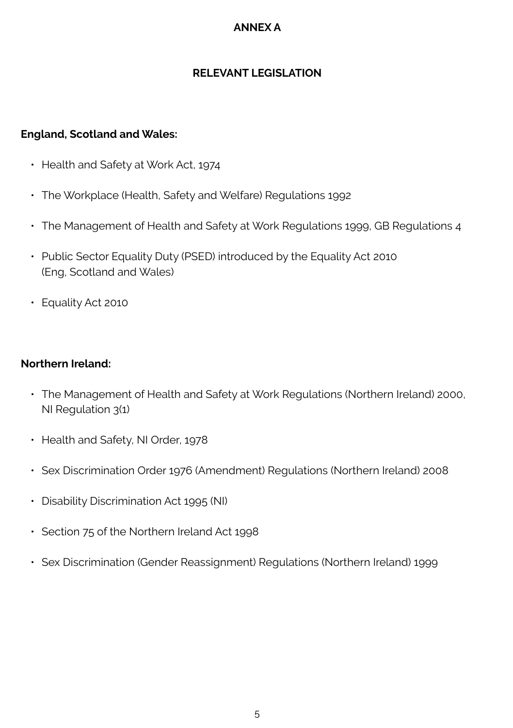#### **ANNEX A**

#### **RELEVANT LEGISLATION**

#### **England, Scotland and Wales:**

- Health and Safety at Work Act, 1974
- The Workplace (Health, Safety and Welfare) Regulations 1992
- The Management of Health and Safety at Work Regulations 1999, GB Regulations 4
- Public Sector Equality Duty (PSED) introduced by the Equality Act 2010 (Eng, Scotland and Wales)
- Equality Act 2010

#### **Northern Ireland:**

- The Management of Health and Safety at Work Regulations (Northern Ireland) 2000, NI Regulation 3(1)
- Health and Safety, NI Order, 1978
- Sex Discrimination Order 1976 (Amendment) Regulations (Northern Ireland) 2008
- Disability Discrimination Act 1995 (NI)
- Section 75 of the Northern Ireland Act 1998
- Sex Discrimination (Gender Reassignment) Regulations (Northern Ireland) 1999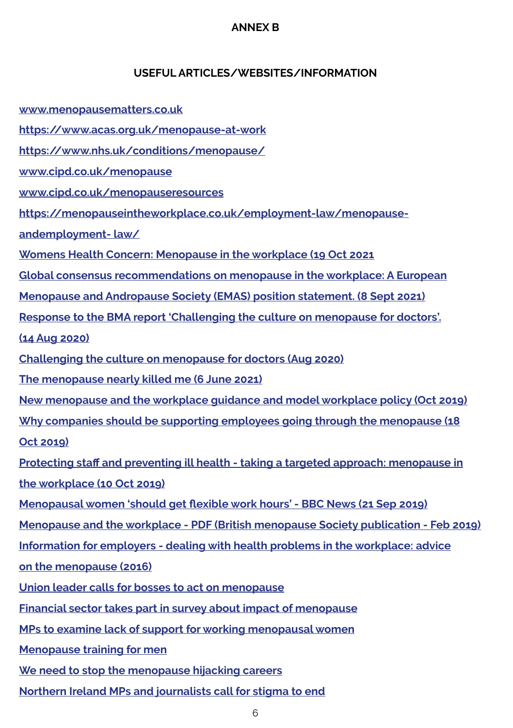#### **ANNEX B**

#### **USEFUL ARTICLES/WEBSITES/INFORMATION**

- **www.menopausematters.co.uk**
- **https://www.acas.org.uk/menopause-at-work**
- **https://www.nhs.uk/conditions/menopause/**
- **www.cipd.co.uk/menopause**
- **www.cipd.co.uk/menopauseresources**
- **https://menopauseintheworkplace.co.uk/employment-law/menopause-**
- **andemployment- law/**
- **Womens Health Concern: Menopause in the workplace (19 Oct 2021**
- **Global consensus recommendations on menopause in the workplace: A European**
- **Menopause and Andropause Society (EMAS) position statement. (8 Sept 2021)**
- **Response to the BMA report 'Challenging the culture on menopause for doctors'.**
- **(14 Aug 2020)**
- **Challenging the culture on menopause for doctors (Aug 2020)**
- **The menopause nearly killed me (6 June 2021)**
- **New menopause and the workplace guidance and model workplace policy (Oct 2019)**
- **Why companies should be supporting employees going through the menopause (18**
- **Oct 2019)**
- **Protecting staff and preventing ill health taking a targeted approach: menopause in the workplace (10 Oct 2019)**
- **Menopausal women 'should get flexible work hours' BBC News (21 Sep 2019)**
- **Menopause and the workplace PDF (British menopause Society publication Feb 2019)**
- **Information for employers dealing with health problems in the workplace: advice**
- **on the menopause (2016)**
- **Union leader calls for bosses to act on menopause**
- **Financial sector takes part in survey about impact of menopause**
- **MPs to examine lack of support for working menopausal women**
- **Menopause training for men**
- **We need to stop the menopause hijacking careers**
- **Northern Ireland MPs and journalists call for stigma to end**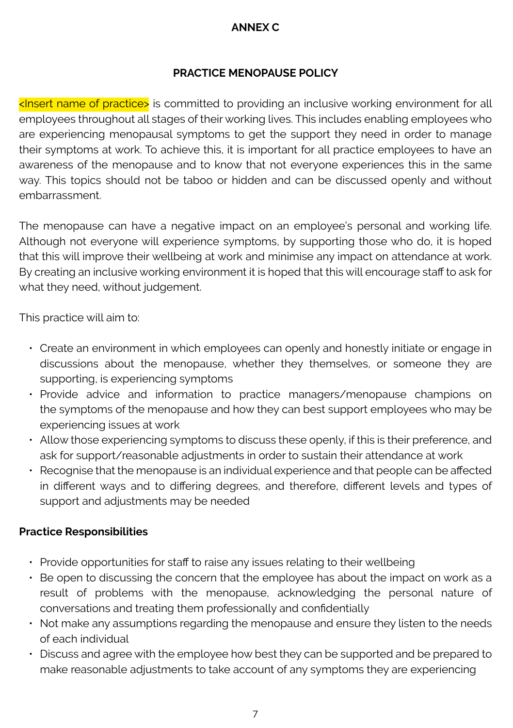#### **ANNEX C**

#### **PRACTICE MENOPAUSE POLICY**

<Insert name of practice> is committed to providing an inclusive working environment for all employees throughout all stages of their working lives. This includes enabling employees who are experiencing menopausal symptoms to get the support they need in order to manage their symptoms at work. To achieve this, it is important for all practice employees to have an awareness of the menopause and to know that not everyone experiences this in the same way. This topics should not be taboo or hidden and can be discussed openly and without embarrassment.

The menopause can have a negative impact on an employee's personal and working life. Although not everyone will experience symptoms, by supporting those who do, it is hoped that this will improve their wellbeing at work and minimise any impact on attendance at work. By creating an inclusive working environment it is hoped that this will encourage staff to ask for what they need, without judgement.

This practice will aim to:

- Create an environment in which employees can openly and honestly initiate or engage in discussions about the menopause, whether they themselves, or someone they are supporting, is experiencing symptoms
- Provide advice and information to practice managers/menopause champions on the symptoms of the menopause and how they can best support employees who may be experiencing issues at work
- Allow those experiencing symptoms to discuss these openly, if this is their preference, and ask for support/reasonable adjustments in order to sustain their attendance at work
- Recognise that the menopause is an individual experience and that people can be affected in different ways and to differing degrees, and therefore, different levels and types of support and adjustments may be needed

#### **Practice Responsibilities**

- Provide opportunities for staff to raise any issues relating to their wellbeing
- Be open to discussing the concern that the employee has about the impact on work as a result of problems with the menopause, acknowledging the personal nature of conversations and treating them professionally and confidentially
- Not make any assumptions regarding the menopause and ensure they listen to the needs of each individual
- Discuss and agree with the employee how best they can be supported and be prepared to make reasonable adjustments to take account of any symptoms they are experiencing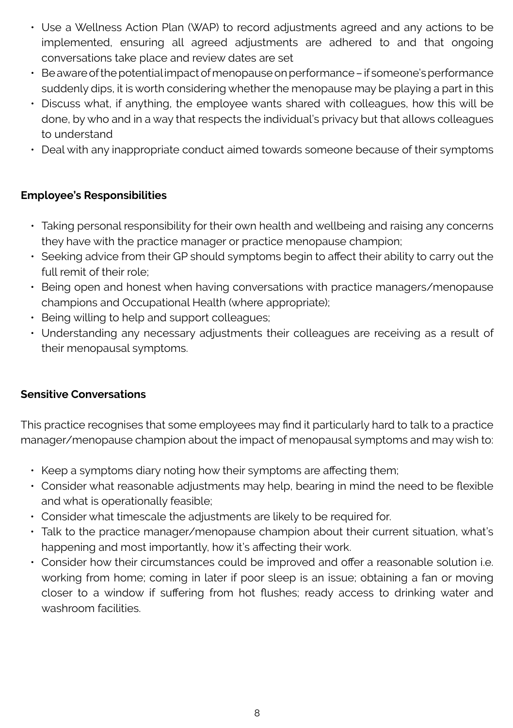- Use a Wellness Action Plan (WAP) to record adjustments agreed and any actions to be implemented, ensuring all agreed adjustments are adhered to and that ongoing conversations take place and review dates are set
- Be aware of the potential impact of menopause on performance if someone's performance suddenly dips, it is worth considering whether the menopause may be playing a part in this
- Discuss what, if anything, the employee wants shared with colleagues, how this will be done, by who and in a way that respects the individual's privacy but that allows colleagues to understand
- Deal with any inappropriate conduct aimed towards someone because of their symptoms

#### **Employee's Responsibilities**

- Taking personal responsibility for their own health and wellbeing and raising any concerns they have with the practice manager or practice menopause champion;
- Seeking advice from their GP should symptoms begin to affect their ability to carry out the full remit of their role;
- Being open and honest when having conversations with practice managers/menopause champions and Occupational Health (where appropriate);
- Being willing to help and support colleagues;
- Understanding any necessary adjustments their colleagues are receiving as a result of their menopausal symptoms.

#### **Sensitive Conversations**

This practice recognises that some employees may find it particularly hard to talk to a practice manager/menopause champion about the impact of menopausal symptoms and may wish to:

- Keep a symptoms diary noting how their symptoms are affecting them;
- Consider what reasonable adjustments may help, bearing in mind the need to be flexible and what is operationally feasible;
- Consider what timescale the adjustments are likely to be required for.
- Talk to the practice manager/menopause champion about their current situation, what's happening and most importantly, how it's affecting their work.
- Consider how their circumstances could be improved and offer a reasonable solution i.e. working from home; coming in later if poor sleep is an issue; obtaining a fan or moving closer to a window if suffering from hot flushes; ready access to drinking water and washroom facilities.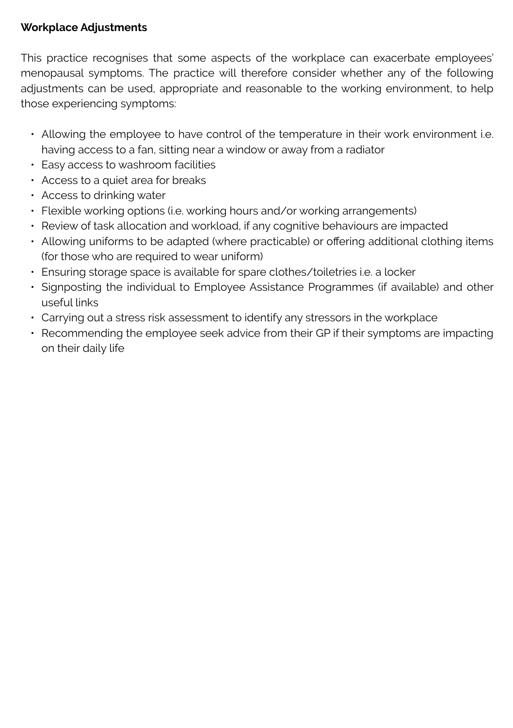#### **Workplace Adjustments**

This practice recognises that some aspects of the workplace can exacerbate employees' menopausal symptoms. The practice will therefore consider whether any of the following adjustments can be used, appropriate and reasonable to the working environment, to help those experiencing symptoms:

- Allowing the employee to have control of the temperature in their work environment i.e. having access to a fan, sitting near a window or away from a radiator
- Easy access to washroom facilities
- Access to a quiet area for breaks
- Access to drinking water
- Flexible working options (i.e. working hours and/or working arrangements)
- Review of task allocation and workload, if any cognitive behaviours are impacted
- Allowing uniforms to be adapted (where practicable) or offering additional clothing items (for those who are required to wear uniform)
- Ensuring storage space is available for spare clothes/toiletries i.e. a locker
- Signposting the individual to Employee Assistance Programmes (if available) and other useful links
- Carrying out a stress risk assessment to identify any stressors in the workplace
- Recommending the employee seek advice from their GP if their symptoms are impacting on their daily life